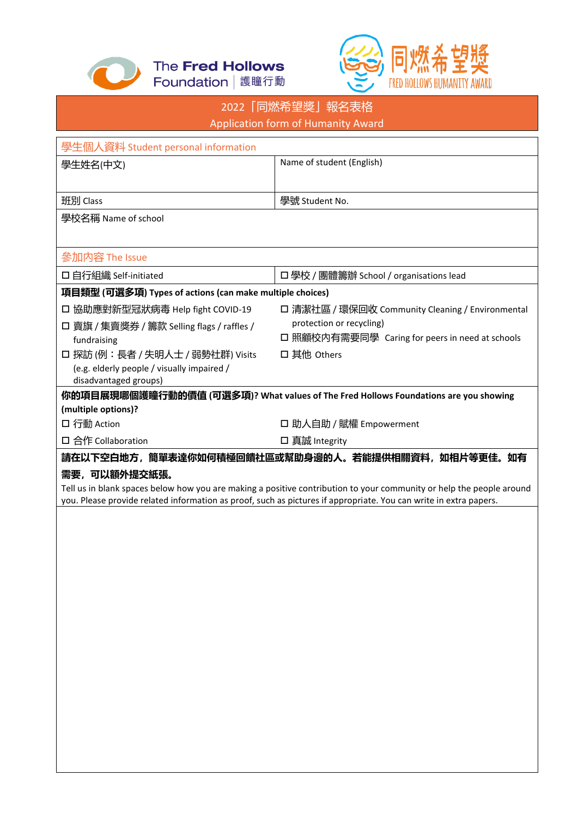



|                                                          | 2022「同燃希望獎」報名表格                                                                                                      |  |
|----------------------------------------------------------|----------------------------------------------------------------------------------------------------------------------|--|
| Application form of Humanity Award                       |                                                                                                                      |  |
|                                                          |                                                                                                                      |  |
| 學生個人資料 Student personal information                      |                                                                                                                      |  |
| 學生姓名(中文)                                                 | Name of student (English)                                                                                            |  |
|                                                          |                                                                                                                      |  |
| 班別 Class                                                 | 學號 Student No.                                                                                                       |  |
|                                                          |                                                                                                                      |  |
| 學校名稱 Name of school                                      |                                                                                                                      |  |
|                                                          |                                                                                                                      |  |
| 參加内容 The Issue                                           |                                                                                                                      |  |
| 口自行組織 Self-initiated                                     | □ 學校 / 團體籌辦 School / organisations lead                                                                              |  |
| 項目類型 (可選多項) Types of actions (can make multiple choices) |                                                                                                                      |  |
| □ 協助應對新型冠狀病毒 Help fight COVID-19                         | □ 清潔社區 / 環保回收 Community Cleaning / Environmental                                                                     |  |
| □ 賣旗 / 集賣獎券 / 籌款 Selling flags / raffles /               | protection or recycling)                                                                                             |  |
| fundraising                                              | □ 照顧校内有需要同學 Caring for peers in need at schools                                                                      |  |
| □ 探訪 (例:長者 / 失明人士 / 弱勢社群) Visits                         | 口 其他 Others                                                                                                          |  |
| (e.g. elderly people / visually impaired /               |                                                                                                                      |  |
| disadvantaged groups)                                    |                                                                                                                      |  |
|                                                          | 你的項目展現哪個護瞳行動的價值 (可選多項)? What values of The Fred Hollows Foundations are you showing                                  |  |
| (multiple options)?                                      |                                                                                                                      |  |
| □ 行動 Action                                              | □ 助人自助 / 賦權 Empowerment                                                                                              |  |
| 口 合作 Collaboration                                       | □ 真誠 Integrity                                                                                                       |  |
|                                                          | 請在以下空白地方,簡單表達你如何積極回饋社區或幫助身邊的人。若能提供相關資料,如相片等更佳。如有                                                                     |  |
| 需要,可以額外提交紙張。                                             |                                                                                                                      |  |
|                                                          | Tell us in blank spaces below how you are making a positive contribution to your community or help the people around |  |
|                                                          | you. Please provide related information as proof, such as pictures if appropriate. You can write in extra papers.    |  |
|                                                          |                                                                                                                      |  |
|                                                          |                                                                                                                      |  |
|                                                          |                                                                                                                      |  |
|                                                          |                                                                                                                      |  |
|                                                          |                                                                                                                      |  |
|                                                          |                                                                                                                      |  |
|                                                          |                                                                                                                      |  |
|                                                          |                                                                                                                      |  |
|                                                          |                                                                                                                      |  |
|                                                          |                                                                                                                      |  |
|                                                          |                                                                                                                      |  |
|                                                          |                                                                                                                      |  |
|                                                          |                                                                                                                      |  |
|                                                          |                                                                                                                      |  |
|                                                          |                                                                                                                      |  |
|                                                          |                                                                                                                      |  |
|                                                          |                                                                                                                      |  |